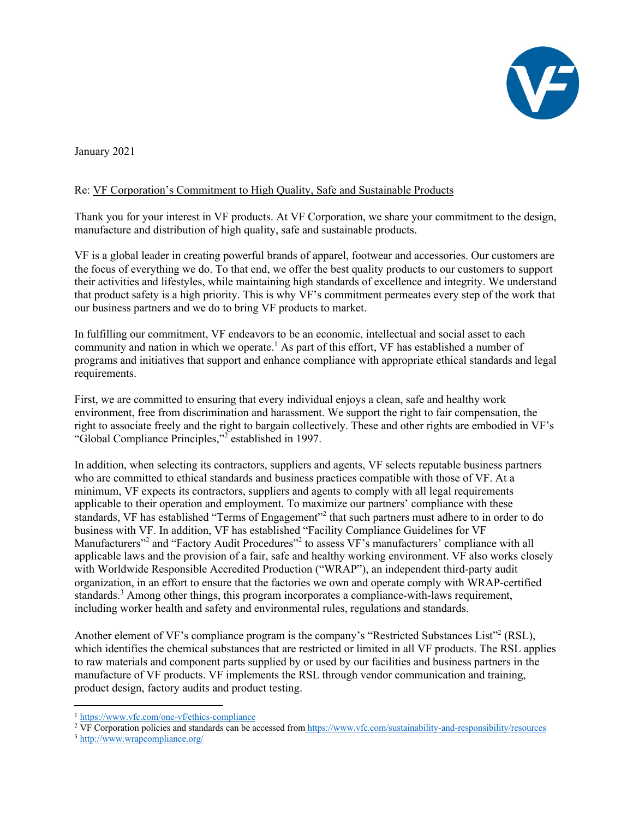

January 2021

## Re: VF Corporation's Commitment to High Quality, Safe and Sustainable Products

Thank you for your interest in VF products. At VF Corporation, we share your commitment to the design, manufacture and distribution of high quality, safe and sustainable products.

VF is a global leader in creating powerful brands of apparel, footwear and accessories. Our customers are the focus of everything we do. To that end, we offer the best quality products to our customers to support their activities and lifestyles, while maintaining high standards of excellence and integrity. We understand that product safety is a high priority. This is why VF's commitment permeates every step of the work that our business partners and we do to bring VF products to market.

In fulfilling our commitment, VF endeavors to be an economic, intellectual and social asset to each community and nation in which we operate.<sup>1</sup> As part of this effort, VF has established a number of programs and initiatives that support and enhance compliance with appropriate ethical standards and legal requirements.

First, we are committed to ensuring that every individual enjoys a clean, safe and healthy work environment, free from discrimination and harassment. We support the right to fair compensation, the right to associate freely and the right to bargain collectively. These and other rights are embodied in VF's "Global Compliance Principles,"<sup>2</sup> established in 1997.

In addition, when selecting its contractors, suppliers and agents, VF selects reputable business partners who are committed to ethical standards and business practices compatible with those of VF. At a minimum, VF expects its contractors, suppliers and agents to comply with all legal requirements applicable to their operation and employment. To maximize our partners' compliance with these standards, VF has established "Terms of Engagement"<sup>2</sup> that such partners must adhere to in order to do business with VF. In addition, VF has established "Facility Compliance Guidelines for VF Manufacturers<sup>"2</sup> and "Factory Audit Procedures"<sup>2</sup> to assess VF's manufacturers' compliance with all applicable laws and the provision of a fair, safe and healthy working environment. VF also works closely with Worldwide Responsible Accredited Production ("WRAP"), an independent third-party audit organization, in an effort to ensure that the factories we own and operate comply with WRAP-certified standards.<sup>3</sup> Among other things, this program incorporates a compliance-with-laws requirement, including worker health and safety and environmental rules, regulations and standards.

Another element of VF's compliance program is the company's "Restricted Substances List"<sup>2</sup> (RSL), which identifies the chemical substances that are restricted or limited in all VF products. The RSL applies to raw materials and component parts supplied by or used by our facilities and business partners in the manufacture of VF products. VF implements the RSL through vendor communication and training, product design, factory audits and product testing.

<sup>1</sup> https://www.vfc.com/one-vf/ethics-compliance

<sup>&</sup>lt;sup>2</sup> VF Corporation policies and standards can be accessed from https://www.vfc.com/sustainability-and-responsibility/resources

<sup>3</sup> http://www.wrapcompliance.org/